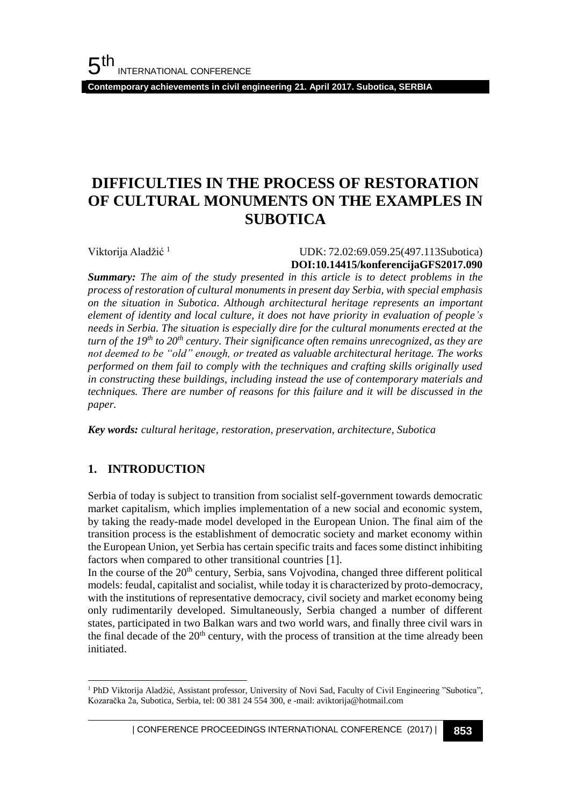**Contemporary achievements in civil engineering 21. April 2017. Subotica, SERBIA**

# **DIFFICULTIES IN THE PROCESS OF RESTORATION OF CULTURAL MONUMENTS ON THE EXAMPLES IN SUBOTICA**

Viktorija Aladžić<sup>1</sup>

 UDK: 72.02:69.059.25(497.113Subotica) **DOI:10.14415/konferencijaGFS2017.090**

*Summary: The aim of the study presented in this article is to detect problems in the process of restoration of cultural monuments in present day Serbia, with special emphasis on the situation in Subotica. Although architectural heritage represents an important element of identity and local culture, it does not have priority in evaluation of people's needs in Serbia. The situation is especially dire for the cultural monuments erected at the turn of the 19th to 20th century. Their significance often remains unrecognized, as they are not deemed to be "old" enough, or treated as valuable architectural heritage. The works performed on them fail to comply with the techniques and crafting skills originally used in constructing these buildings, including instead the use of contemporary materials and techniques. There are number of reasons for this failure and it will be discussed in the paper.* 

*Key words: cultural heritage, restoration, preservation, architecture, Subotica*

## **1. INTRODUCTION**

Serbia of today is subject to transition from socialist self-government towards democratic market capitalism, which implies implementation of a new social and economic system, by taking the ready-made model developed in the European Union. The final aim of the transition process is the establishment of democratic society and market economy within the European Union, yet Serbia has certain specific traits and faces some distinct inhibiting factors when compared to other transitional countries [1].

In the course of the 20<sup>th</sup> century, Serbia, sans Vojvodina, changed three different political models: feudal, capitalist and socialist, while today it is characterized by proto-democracy, with the institutions of representative democracy, civil society and market economy being only rudimentarily developed. Simultaneously, Serbia changed a number of different states, participated in two Balkan wars and two world wars, and finally three civil wars in the final decade of the  $20<sup>th</sup>$  century, with the process of transition at the time already been initiated.

l <sup>1</sup> PhD Viktorija Aladžić, Assistant professor, University of Novi Sad, Faculty of Civil Engineering "Subotica", Kozaračka 2a, Subotica, Serbia, tel: 00 381 24 554 300, e -mail: aviktorija@hotmail.com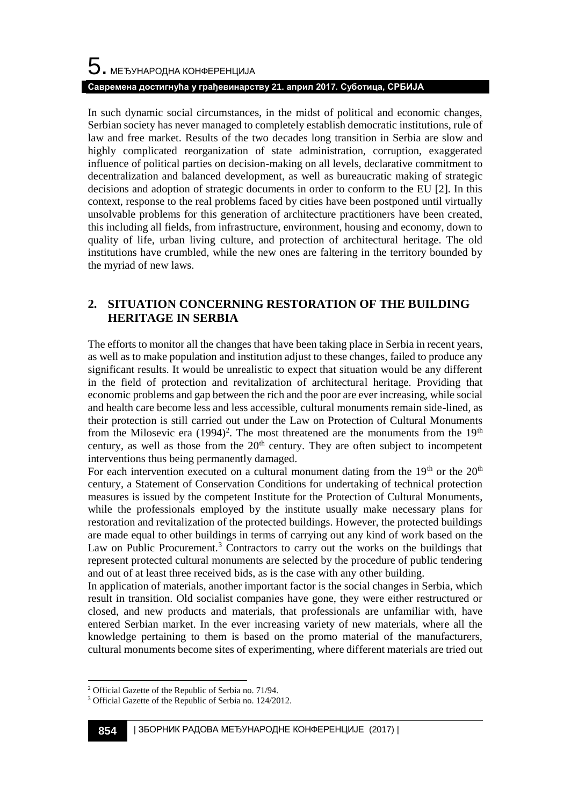In such dynamic social circumstances, in the midst of political and economic changes, Serbian society has never managed to completely establish democratic institutions, rule of law and free market. Results of the two decades long transition in Serbia are slow and highly complicated reorganization of state administration, corruption, exaggerated influence of political parties on decision-making on all levels, declarative commitment to decentralization and balanced development, as well as bureaucratic making of strategic decisions and adoption of strategic documents in order to conform to the EU [2]. In this context, response to the real problems faced by cities have been postponed until virtually unsolvable problems for this generation of architecture practitioners have been created, this including all fields, from infrastructure, environment, housing and economy, down to quality of life, urban living culture, and protection of architectural heritage. The old institutions have crumbled, while the new ones are faltering in the territory bounded by the myriad of new laws.

## **2. SITUATION CONCERNING RESTORATION OF THE BUILDING HERITAGE IN SERBIA**

The efforts to monitor all the changes that have been taking place in Serbia in recent years, as well as to make population and institution adjust to these changes, failed to produce any significant results. It would be unrealistic to expect that situation would be any different in the field of protection and revitalization of architectural heritage. Providing that economic problems and gap between the rich and the poor are ever increasing, while social and health care become less and less accessible, cultural monuments remain side-lined, as their protection is still carried out under the Law on Protection of Cultural Monuments from the Milosevic era  $(1994)^2$ . The most threatened are the monuments from the  $19<sup>th</sup>$ century, as well as those from the  $20<sup>th</sup>$  century. They are often subject to incompetent interventions thus being permanently damaged.

For each intervention executed on a cultural monument dating from the  $19<sup>th</sup>$  or the  $20<sup>th</sup>$ century, a Statement of Conservation Conditions for undertaking of technical protection measures is issued by the competent Institute for the Protection of Cultural Monuments, while the professionals employed by the institute usually make necessary plans for restoration and revitalization of the protected buildings. However, the protected buildings are made equal to other buildings in terms of carrying out any kind of work based on the Law on Public Procurement.<sup>3</sup> Contractors to carry out the works on the buildings that represent protected cultural monuments are selected by the procedure of public tendering and out of at least three received bids, as is the case with any other building.

In application of materials, another important factor is the social changes in Serbia, which result in transition. Old socialist companies have gone, they were either restructured or closed, and new products and materials, that professionals are unfamiliar with, have entered Serbian market. In the ever increasing variety of new materials, where all the knowledge pertaining to them is based on the promo material of the manufacturers, cultural monuments become sites of experimenting, where different materials are tried out

l

<sup>2</sup> Official Gazette of the Republic of Serbia no. 71/94.

<sup>3</sup> Official Gazette of the Republic of Serbia no. 124/2012.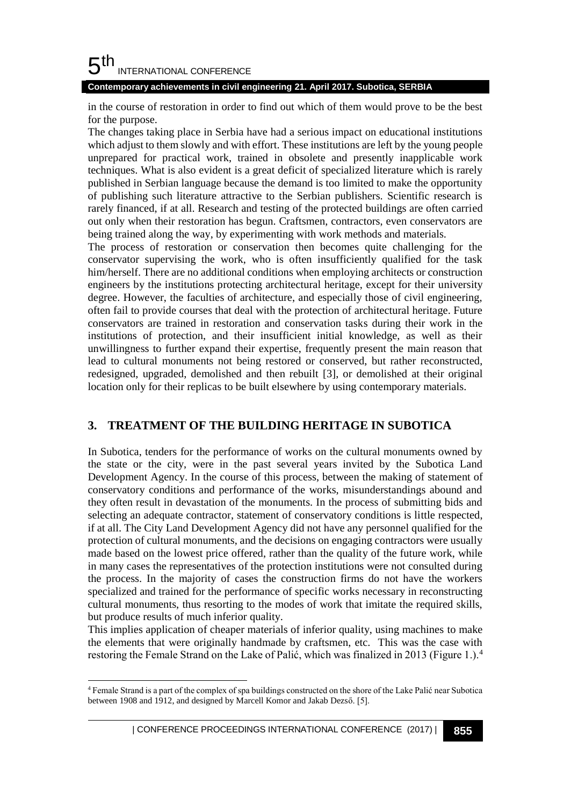#### 5 th INTERNATIONAL CONFERENCE

**Contemporary achievements in civil engineering 21. April 2017. Subotica, SERBIA**

in the course of restoration in order to find out which of them would prove to be the best for the purpose.

The changes taking place in Serbia have had a serious impact on educational institutions which adjust to them slowly and with effort. These institutions are left by the young people unprepared for practical work, trained in obsolete and presently inapplicable work techniques. What is also evident is a great deficit of specialized literature which is rarely published in Serbian language because the demand is too limited to make the opportunity of publishing such literature attractive to the Serbian publishers. Scientific research is rarely financed, if at all. Research and testing of the protected buildings are often carried out only when their restoration has begun. Craftsmen, contractors, even conservators are being trained along the way, by experimenting with work methods and materials.

The process of restoration or conservation then becomes quite challenging for the conservator supervising the work, who is often insufficiently qualified for the task him/herself. There are no additional conditions when employing architects or construction engineers by the institutions protecting architectural heritage, except for their university degree. However, the faculties of architecture, and especially those of civil engineering, often fail to provide courses that deal with the protection of architectural heritage. Future conservators are trained in restoration and conservation tasks during their work in the institutions of protection, and their insufficient initial knowledge, as well as their unwillingness to further expand their expertise, frequently present the main reason that lead to cultural monuments not being restored or conserved, but rather reconstructed, redesigned, upgraded, demolished and then rebuilt [3], or demolished at their original location only for their replicas to be built elsewhere by using contemporary materials.

## **3. TREATMENT OF THE BUILDING HERITAGE IN SUBOTICA**

In Subotica, tenders for the performance of works on the cultural monuments owned by the state or the city, were in the past several years invited by the Subotica Land Development Agency. In the course of this process, between the making of statement of conservatory conditions and performance of the works, misunderstandings abound and they often result in devastation of the monuments. In the process of submitting bids and selecting an adequate contractor, statement of conservatory conditions is little respected, if at all. The City Land Development Agency did not have any personnel qualified for the protection of cultural monuments, and the decisions on engaging contractors were usually made based on the lowest price offered, rather than the quality of the future work, while in many cases the representatives of the protection institutions were not consulted during the process. In the majority of cases the construction firms do not have the workers specialized and trained for the performance of specific works necessary in reconstructing cultural monuments, thus resorting to the modes of work that imitate the required skills, but produce results of much inferior quality.

This implies application of cheaper materials of inferior quality, using machines to make the elements that were originally handmade by craftsmen, etc. This was the case with restoring the Female Strand on the Lake of Palić, which was finalized in 2013 (Figure 1.).<sup>4</sup>

l

<sup>4</sup> Female Strand is a part of the complex of spa buildings constructed on the shore of the Lake Palić near Subotica between 1908 and 1912, and designed by Marcell Komor and Jakab Dezső. [5].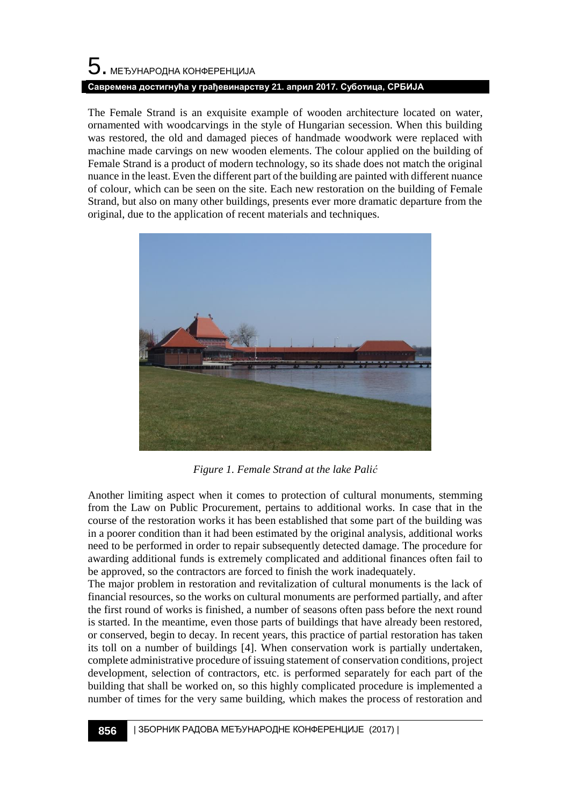# $\mathbf 5$ . међународна конференција **Савремена достигнућа у грађевинарству 21. април 2017. Суботица, СРБИЈА**

The Female Strand is an exquisite example of wooden architecture located on water, ornamented with woodcarvings in the style of Hungarian secession. When this building was restored, the old and damaged pieces of handmade woodwork were replaced with machine made carvings on new wooden elements. The colour applied on the building of Female Strand is a product of modern technology, so its shade does not match the original nuance in the least. Even the different part of the building are painted with different nuance of colour, which can be seen on the site. Each new restoration on the building of Female Strand, but also on many other buildings, presents ever more dramatic departure from the original, due to the application of recent materials and techniques.



*Figure 1. Female Strand at the lake Palić*

Another limiting aspect when it comes to protection of cultural monuments, stemming from the Law on Public Procurement, pertains to additional works. In case that in the course of the restoration works it has been established that some part of the building was in a poorer condition than it had been estimated by the original analysis, additional works need to be performed in order to repair subsequently detected damage. The procedure for awarding additional funds is extremely complicated and additional finances often fail to be approved, so the contractors are forced to finish the work inadequately.

The major problem in restoration and revitalization of cultural monuments is the lack of financial resources, so the works on cultural monuments are performed partially, and after the first round of works is finished, a number of seasons often pass before the next round is started. In the meantime, even those parts of buildings that have already been restored, or conserved, begin to decay. In recent years, this practice of partial restoration has taken its toll on a number of buildings [4]. When conservation work is partially undertaken, complete administrative procedure of issuing statement of conservation conditions, project development, selection of contractors, etc. is performed separately for each part of the building that shall be worked on, so this highly complicated procedure is implemented a number of times for the very same building, which makes the process of restoration and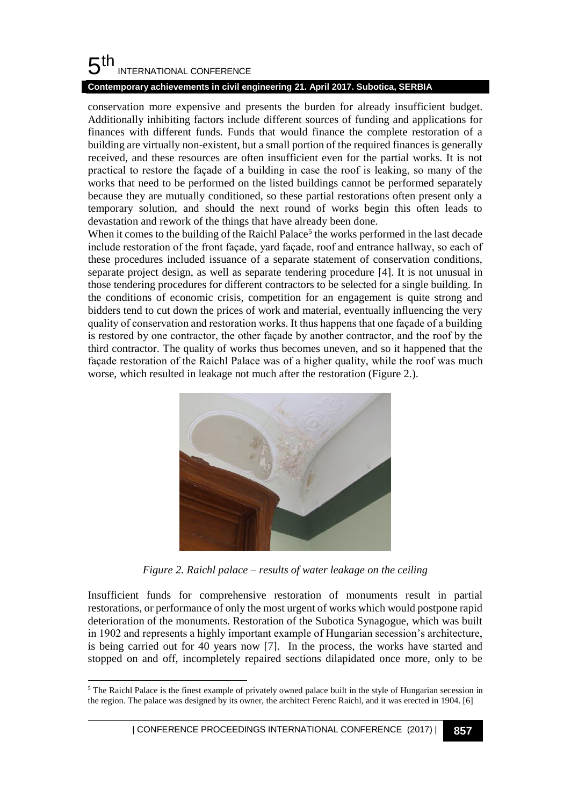#### 5 th INTERNATIONAL CONFERENCE

### **Contemporary achievements in civil engineering 21. April 2017. Subotica, SERBIA**

conservation more expensive and presents the burden for already insufficient budget. Additionally inhibiting factors include different sources of funding and applications for finances with different funds. Funds that would finance the complete restoration of a building are virtually non-existent, but a small portion of the required finances is generally received, and these resources are often insufficient even for the partial works. It is not practical to restore the façade of a building in case the roof is leaking, so many of the works that need to be performed on the listed buildings cannot be performed separately because they are mutually conditioned, so these partial restorations often present only a temporary solution, and should the next round of works begin this often leads to devastation and rework of the things that have already been done.

When it comes to the building of the Raichl Palace<sup>5</sup> the works performed in the last decade include restoration of the front façade, yard façade, roof and entrance hallway, so each of these procedures included issuance of a separate statement of conservation conditions, separate project design, as well as separate tendering procedure [4]. It is not unusual in those tendering procedures for different contractors to be selected for a single building. In the conditions of economic crisis, competition for an engagement is quite strong and bidders tend to cut down the prices of work and material, eventually influencing the very quality of conservation and restoration works. It thus happens that one façade of a building is restored by one contractor, the other façade by another contractor, and the roof by the third contractor. The quality of works thus becomes uneven, and so it happened that the façade restoration of the Raichl Palace was of a higher quality, while the roof was much worse, which resulted in leakage not much after the restoration (Figure 2.).



*Figure 2. Raichl palace – results of water leakage on the ceiling*

Insufficient funds for comprehensive restoration of monuments result in partial restorations, or performance of only the most urgent of works which would postpone rapid deterioration of the monuments. Restoration of the Subotica Synagogue, which was built in 1902 and represents a highly important example of Hungarian secession's architecture, is being carried out for 40 years now [7]. In the process, the works have started and stopped on and off, incompletely repaired sections dilapidated once more, only to be

l <sup>5</sup> The Raichl Palace is the finest example of privately owned palace built in the style of Hungarian secession in the region. The palace was designed by its owner, the architect Ferenc Raichl, and it was erected in 1904. [6]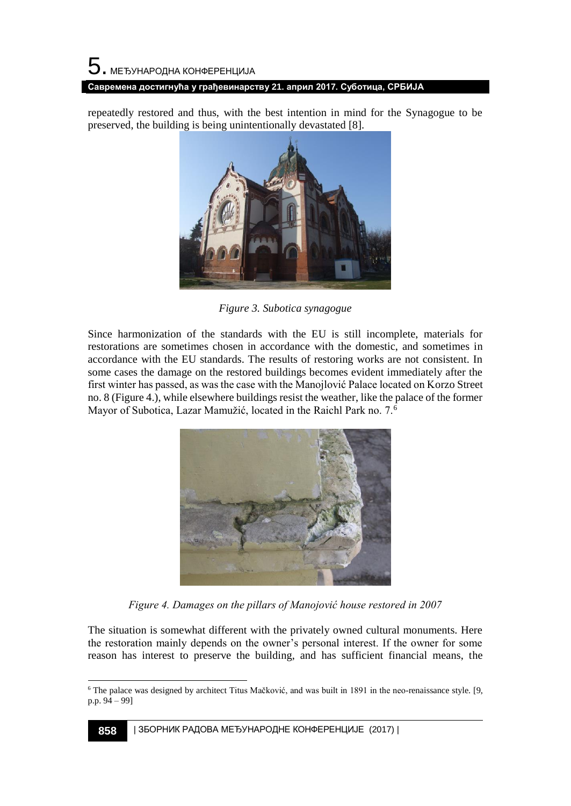### **Савремена достигнућа у грађевинарству 21. април 2017. Суботица, СРБИЈА**

repeatedly restored and thus, with the best intention in mind for the Synagogue to be preserved, the building is being unintentionally devastated [8].



*Figure 3. Subotica synagogue*

Since harmonization of the standards with the EU is still incomplete, materials for restorations are sometimes chosen in accordance with the domestic, and sometimes in accordance with the EU standards. The results of restoring works are not consistent. In some cases the damage on the restored buildings becomes evident immediately after the first winter has passed, as was the case with the Manojlović Palace located on Korzo Street no. 8 (Figure 4.), while elsewhere buildings resist the weather, like the palace of the former Mayor of Subotica, Lazar Mamužić, located in the Raichl Park no. 7.<sup>6</sup>



*Figure 4. Damages on the pillars of Manojović house restored in 2007*

The situation is somewhat different with the privately owned cultural monuments. Here the restoration mainly depends on the owner's personal interest. If the owner for some reason has interest to preserve the building, and has sufficient financial means, the

l <sup>6</sup> The palace was designed by architect Titus Mačković, and was built in 1891 in the neo-renaissance style. [9, p.p. 94 – 99]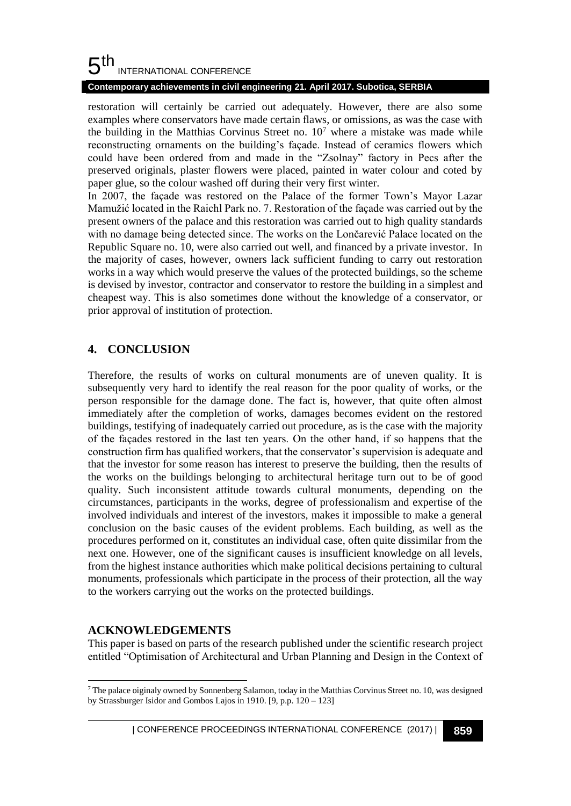#### 5 th INTERNATIONAL CONFERENCE

### **Contemporary achievements in civil engineering 21. April 2017. Subotica, SERBIA**

restoration will certainly be carried out adequately. However, there are also some examples where conservators have made certain flaws, or omissions, as was the case with the building in the Matthias Corvinus Street no.  $10<sup>7</sup>$  where a mistake was made while reconstructing ornaments on the building's façade. Instead of ceramics flowers which could have been ordered from and made in the "Zsolnay" factory in Pecs after the preserved originals, plaster flowers were placed, painted in water colour and coted by paper glue, so the colour washed off during their very first winter.

In 2007, the façade was restored on the Palace of the former Town's Mayor Lazar Mamužić located in the Raichl Park no. 7. Restoration of the façade was carried out by the present owners of the palace and this restoration was carried out to high quality standards with no damage being detected since. The works on the Lončarević Palace located on the Republic Square no. 10, were also carried out well, and financed by a private investor. In the majority of cases, however, owners lack sufficient funding to carry out restoration works in a way which would preserve the values of the protected buildings, so the scheme is devised by investor, contractor and conservator to restore the building in a simplest and cheapest way. This is also sometimes done without the knowledge of a conservator, or prior approval of institution of protection.

## **4. CONCLUSION**

Therefore, the results of works on cultural monuments are of uneven quality. It is subsequently very hard to identify the real reason for the poor quality of works, or the person responsible for the damage done. The fact is, however, that quite often almost immediately after the completion of works, damages becomes evident on the restored buildings, testifying of inadequately carried out procedure, as is the case with the majority of the façades restored in the last ten years. On the other hand, if so happens that the construction firm has qualified workers, that the conservator's supervision is adequate and that the investor for some reason has interest to preserve the building, then the results of the works on the buildings belonging to architectural heritage turn out to be of good quality. Such inconsistent attitude towards cultural monuments, depending on the circumstances, participants in the works, degree of professionalism and expertise of the involved individuals and interest of the investors, makes it impossible to make a general conclusion on the basic causes of the evident problems. Each building, as well as the procedures performed on it, constitutes an individual case, often quite dissimilar from the next one. However, one of the significant causes is insufficient knowledge on all levels, from the highest instance authorities which make political decisions pertaining to cultural monuments, professionals which participate in the process of their protection, all the way to the workers carrying out the works on the protected buildings.

## **ACKNOWLEDGEMENTS**

This paper is based on parts of the research published under the scientific research project entitled "Optimisation of Architectural and Urban Planning and Design in the Context of

l  $^7$  The palace oiginaly owned by Sonnenberg Salamon, today in the Matthias Corvinus Street no. 10, was designed by Strassburger Isidor and Gombos Lajos in 1910. [9, p.p. 120 – 123]